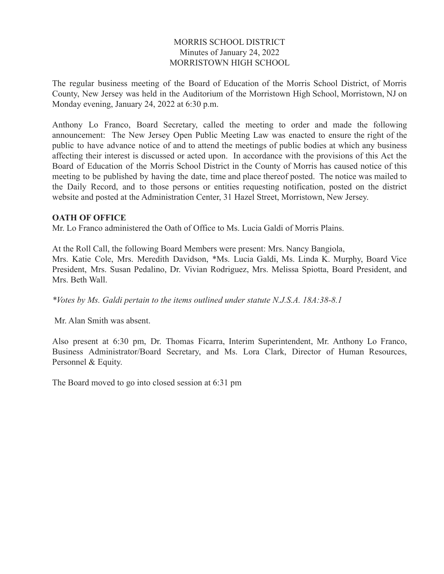### MORRIS SCHOOL DISTRICT Minutes of January 24, 2022 MORRISTOWN HIGH SCHOOL

The regular business meeting of the Board of Education of the Morris School District, of Morris County, New Jersey was held in the Auditorium of the Morristown High School, Morristown, NJ on Monday evening, January 24, 2022 at 6:30 p.m.

Anthony Lo Franco, Board Secretary, called the meeting to order and made the following announcement: The New Jersey Open Public Meeting Law was enacted to ensure the right of the public to have advance notice of and to attend the meetings of public bodies at which any business affecting their interest is discussed or acted upon. In accordance with the provisions of this Act the Board of Education of the Morris School District in the County of Morris has caused notice of this meeting to be published by having the date, time and place thereof posted. The notice was mailed to the Daily Record, and to those persons or entities requesting notification, posted on the district website and posted at the Administration Center, 31 Hazel Street, Morristown, New Jersey.

### **OATH OF OFFICE**

Mr. Lo Franco administered the Oath of Office to Ms. Lucia Galdi of Morris Plains.

At the Roll Call, the following Board Members were present: Mrs. Nancy Bangiola, Mrs. Katie Cole, Mrs. Meredith Davidson, \*Ms. Lucia Galdi, Ms. Linda K. Murphy, Board Vice President, Mrs. Susan Pedalino, Dr. Vivian Rodriguez, Mrs. Melissa Spiotta, Board President, and Mrs. Beth Wall.

*\*Votes by Ms. Galdi pertain to the items outlined under statute N.J.S.A. 18A:38-8.1*

Mr. Alan Smith was absent.

Also present at 6:30 pm, Dr. Thomas Ficarra, Interim Superintendent, Mr. Anthony Lo Franco, Business Administrator/Board Secretary, and Ms. Lora Clark, Director of Human Resources, Personnel & Equity.

The Board moved to go into closed session at 6:31 pm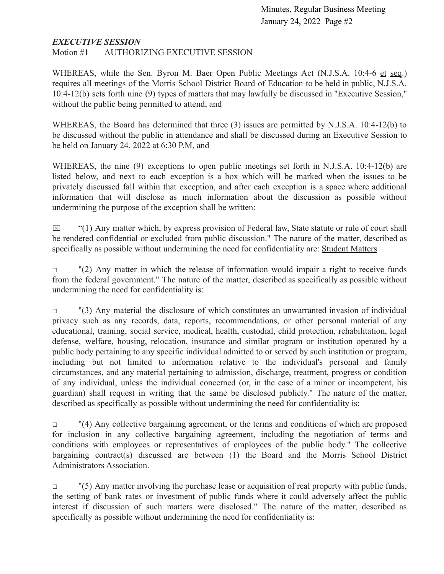### *EXECUTIVE SESSION*

Motion #1 AUTHORIZING EXECUTIVE SESSION

WHEREAS, while the Sen. Byron M. Baer Open Public Meetings Act (N.J.S.A. 10:4-6 et seq.) requires all meetings of the Morris School District Board of Education to be held in public, N.J.S.A. 10:4-12(b) sets forth nine (9) types of matters that may lawfully be discussed in "Executive Session," without the public being permitted to attend, and

WHEREAS, the Board has determined that three (3) issues are permitted by N.J.S.A. 10:4-12(b) to be discussed without the public in attendance and shall be discussed during an Executive Session to be held on January 24, 2022 at 6:30 P.M, and

WHEREAS, the nine (9) exceptions to open public meetings set forth in N.J.S.A. 10:4-12(b) are listed below, and next to each exception is a box which will be marked when the issues to be privately discussed fall within that exception, and after each exception is a space where additional information that will disclose as much information about the discussion as possible without undermining the purpose of the exception shall be written:

 $\boxtimes$  "(1) Any matter which, by express provision of Federal law, State statute or rule of court shall be rendered confidential or excluded from public discussion." The nature of the matter, described as specifically as possible without undermining the need for confidentiality are: Student Matters

 $\Box$  "(2) Any matter in which the release of information would impair a right to receive funds from the federal government." The nature of the matter, described as specifically as possible without undermining the need for confidentiality is:

 $\Box$  "(3) Any material the disclosure of which constitutes an unwarranted invasion of individual privacy such as any records, data, reports, recommendations, or other personal material of any educational, training, social service, medical, health, custodial, child protection, rehabilitation, legal defense, welfare, housing, relocation, insurance and similar program or institution operated by a public body pertaining to any specific individual admitted to or served by such institution or program, including but not limited to information relative to the individual's personal and family circumstances, and any material pertaining to admission, discharge, treatment, progress or condition of any individual, unless the individual concerned (or, in the case of a minor or incompetent, his guardian) shall request in writing that the same be disclosed publicly." The nature of the matter, described as specifically as possible without undermining the need for confidentiality is:

 $\Box$  "(4) Any collective bargaining agreement, or the terms and conditions of which are proposed for inclusion in any collective bargaining agreement, including the negotiation of terms and conditions with employees or representatives of employees of the public body." The collective bargaining contract(s) discussed are between (1) the Board and the Morris School District Administrators Association.

 $\Box$  "(5) Any matter involving the purchase lease or acquisition of real property with public funds, the setting of bank rates or investment of public funds where it could adversely affect the public interest if discussion of such matters were disclosed." The nature of the matter, described as specifically as possible without undermining the need for confidentiality is: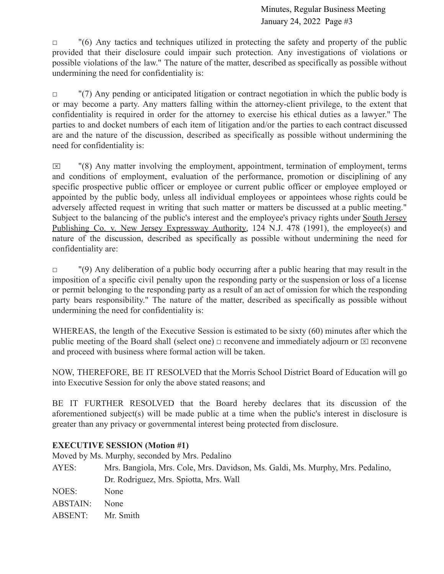$\Box$  "(6) Any tactics and techniques utilized in protecting the safety and property of the public provided that their disclosure could impair such protection. Any investigations of violations or possible violations of the law." The nature of the matter, described as specifically as possible without undermining the need for confidentiality is:

 $\Box$  "(7) Any pending or anticipated litigation or contract negotiation in which the public body is or may become a party. Any matters falling within the attorney-client privilege, to the extent that confidentiality is required in order for the attorney to exercise his ethical duties as a lawyer." The parties to and docket numbers of each item of litigation and/or the parties to each contract discussed are and the nature of the discussion, described as specifically as possible without undermining the need for confidentiality is:

 $\boxtimes$  "(8) Any matter involving the employment, appointment, termination of employment, terms and conditions of employment, evaluation of the performance, promotion or disciplining of any specific prospective public officer or employee or current public officer or employee employed or appointed by the public body, unless all individual employees or appointees whose rights could be adversely affected request in writing that such matter or matters be discussed at a public meeting." Subject to the balancing of the public's interest and the employee's privacy rights under South Jersey Publishing Co. v. New Jersey Expressway Authority, 124 N.J. 478 (1991), the employee(s) and nature of the discussion, described as specifically as possible without undermining the need for confidentiality are:

□ (9) Any deliberation of a public body occurring after a public hearing that may result in the imposition of a specific civil penalty upon the responding party or the suspension or loss of a license or permit belonging to the responding party as a result of an act of omission for which the responding party bears responsibility." The nature of the matter, described as specifically as possible without undermining the need for confidentiality is:

WHEREAS, the length of the Executive Session is estimated to be sixty (60) minutes after which the public meeting of the Board shall (select one)  $\Box$  reconvene and immediately adjourn or  $\Box$  reconvene and proceed with business where formal action will be taken.

NOW, THEREFORE, BE IT RESOLVED that the Morris School District Board of Education will go into Executive Session for only the above stated reasons; and

BE IT FURTHER RESOLVED that the Board hereby declares that its discussion of the aforementioned subject(s) will be made public at a time when the public's interest in disclosure is greater than any privacy or governmental interest being protected from disclosure.

## **EXECUTIVE SESSION (Motion #1)**

Moved by Ms. Murphy, seconded by Mrs. Pedalino

| AYES:           | Mrs. Bangiola, Mrs. Cole, Mrs. Davidson, Ms. Galdi, Ms. Murphy, Mrs. Pedalino, |
|-----------------|--------------------------------------------------------------------------------|
|                 | Dr. Rodriguez, Mrs. Spiotta, Mrs. Wall                                         |
| NOES:           | <b>None</b>                                                                    |
| <b>ABSTAIN:</b> | <b>None</b>                                                                    |
| ABSENT:         | Mr. Smith                                                                      |
|                 |                                                                                |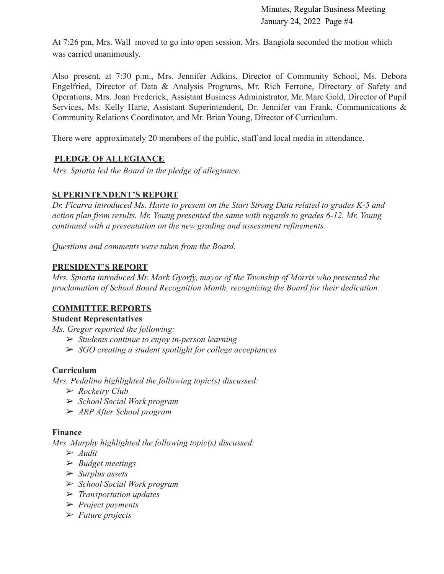At 7:26 pm, Mrs. Wall moved to go into open session. Mrs. Bangiola seconded the motion which was carried unanimously.

Also present, at 7:30 p.m., Mrs. Jennifer Adkins, Director of Community School, Ms. Debora Engelfried, Director of Data & Analysis Programs, Mr. Rich Ferrone, Directory of Safety and Operations, Mrs. Joan Frederick, Assistant Business Administrator, Mr. Marc Gold, Director of Pupil Services, Ms. Kelly Harte, Assistant Superintendent, Dr. Jennifer van Frank, Communications & Community Relations Coordinator, and Mr. Brian Young, Director of Curriculum.

There were approximately 20 members of the public, staff and local media in attendance.

## **PLEDGE OF ALLEGIANCE**

*Mrs. Spiotta led the Board in the pledge of allegiance.*

### **SUPERINTENDENT'S REPORT**

*Dr. Ficarra introduced Ms. Harte to present on the Start Strong Data related to grades K-5 and action plan from results. Mr. Young presented the same with regards to grades 6-12. Mr. Young continued with a presentation on the new grading and assessment refinements.*

*Questions and comments were taken from the Board.*

### **PRESIDENT'S REPORT**

*Mrs. Spiotta introduced Mr. Mark Gyorfy, mayor of the Township of Morris who presented the proclamation of School Board Recognition Month, recognizing the Board for their dedication.*

### **COMMITTEE REPORTS**

### **Student Representatives**

*Ms. Gregor reported the following:*

- ➢ *Students continue to enjoy in-person learning*
- ➢ *SGO creating a student spotlight for college acceptances*

### **Curriculum**

*Mrs. Pedalino highlighted the following topic(s) discussed:*

- ➢ *Rocketry Club*
- ➢ *School Social Work program*
- ➢ *ARP After School program*

### **Finance**

*Mrs. Murphy highlighted the following topic(s) discussed:*

- ➢ *Audit*
- ➢ *Budget meetings*
- ➢ *Surplus assets*
- ➢ *School Social Work program*
- ➢ *Transportation updates*
- ➢ *Project payments*
- ➢ *Future projects*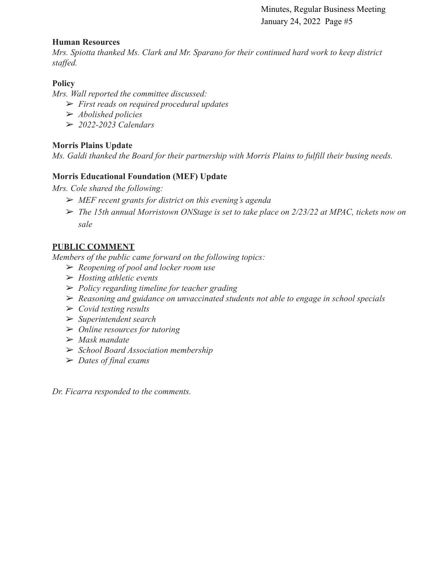### **Human Resources**

*Mrs. Spiotta thanked Ms. Clark and Mr. Sparano for their continued hard work to keep district staffed.*

## **Policy**

*Mrs. Wall reported the committee discussed:*

- ➢ *First reads on required procedural updates*
- ➢ *Abolished policies*
- ➢ *2022-2023 Calendars*

## **Morris Plains Update**

*Ms. Galdi thanked the Board for their partnership with Morris Plains to fulfill their busing needs.*

## **Morris Educational Foundation (MEF) Update**

*Mrs. Cole shared the following:*

- ➢ *MEF recent grants for district on this evening's agenda*
- ➢ *The 15th annual Morristown ONStage is set to take place on 2/23/22 at MPAC, tickets now on sale*

## **PUBLIC COMMENT**

*Members of the public came forward on the following topics:*

- ➢ *Reopening of pool and locker room use*
- ➢ *Hosting athletic events*
- ➢ *Policy regarding timeline for teacher grading*
- ➢ *Reasoning and guidance on unvaccinated students not able to engage in school specials*
- ➢ *Covid testing results*
- ➢ *Superintendent search*
- ➢ *Online resources for tutoring*
- ➢ *Mask mandate*
- ➢ *School Board Association membership*
- ➢ *Dates of final exams*

*Dr. Ficarra responded to the comments.*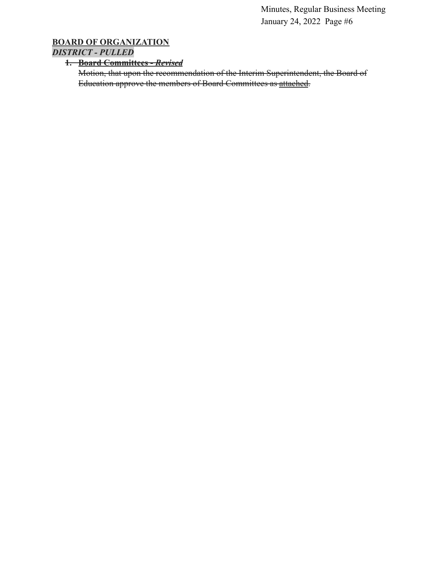## **BOARD OF ORGANIZATION** *DISTRICT - PULLED*

### **1. Board Committees -** *Revised*

Motion, that upon the recommendation of the Interim Superintendent, the Board of Education approve the members of Board Committees as [attached](https://drive.google.com/file/d/1jB4HNCKqq7kbZVPFgb-GdFdy_RRCQZBE/view?usp=sharing).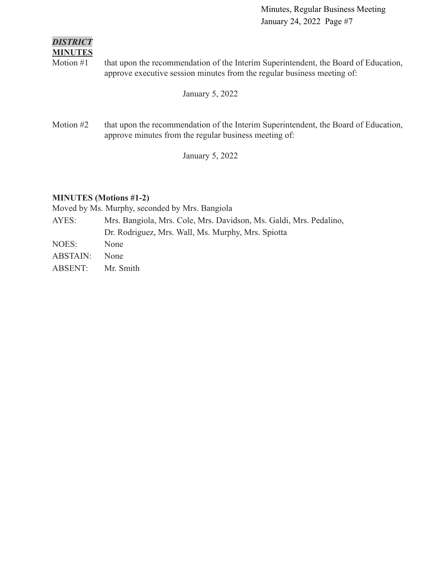### *DISTRICT* **MINUTES**

Motion #1 that upon the recommendation of the Interim Superintendent, the Board of Education, approve executive session minutes from the regular business meeting of:

January 5, 2022

Motion #2 that upon the recommendation of the Interim Superintendent, the Board of Education, approve minutes from the regular business meeting of:

January 5, 2022

## **MINUTES (Motions #1-2)**

Moved by Ms. Murphy, seconded by Mrs. Bangiola

- AYES: Mrs. Bangiola, Mrs. Cole, Mrs. Davidson, Ms. Galdi, Mrs. Pedalino, Dr. Rodriguez, Mrs. Wall, Ms. Murphy, Mrs. Spiotta
- NOES: None ABSTAIN: None
- ABSENT: Mr. Smith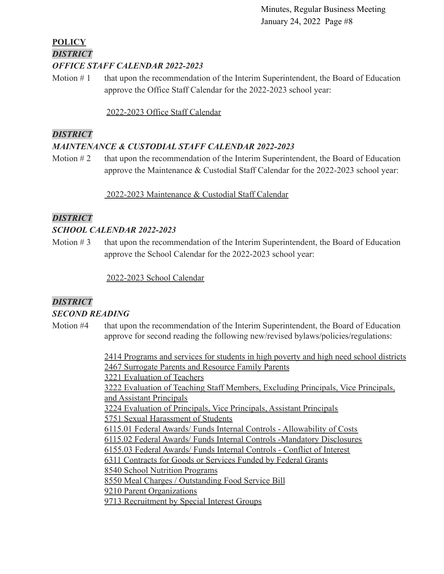## **POLICY** *DISTRICT OFFICE STAFF CALENDAR 2022-2023*

Motion  $# 1$  that upon the recommendation of the Interim Superintendent, the Board of Education approve the Office Staff Calendar for the 2022-2023 school year:

[2022-2023 Office Staff Calendar](https://docs.google.com/document/d/1OrzGSK8AFKHJ4qkTAJSnzrCGLFGLoOzq/edit?usp=sharing&ouid=116999334560462810204&rtpof=true&sd=true)

## *DISTRICT*

## *MAINTENANCE & CUSTODIAL STAFF CALENDAR 2022-2023*

Motion  $#2$  that upon the recommendation of the Interim Superintendent, the Board of Education approve the Maintenance & Custodial Staff Calendar for the 2022-2023 school year:

## [2022-2023 Maintenance & Custodial Staff Calendar](https://docs.google.com/document/d/1gL5j_yzgowLbO_SZrmKW1Ecjnfyv9iNe/edit?usp=sharing&ouid=116999334560462810204&rtpof=true&sd=true)

## *DISTRICT*

## *SCHOOL CALENDAR 2022-2023*

Motion  $# 3$  that upon the recommendation of the Interim Superintendent, the Board of Education approve the School Calendar for the 2022-2023 school year:

[2022-2023 School Calendar](https://drive.google.com/file/d/1o6rDcg4uuZnO_w5c3FSjOKyx_qM7GOz4/view?usp=sharing)

## *DISTRICT*

## *SECOND READING*

Motion #4 that upon the recommendation of the Interim Superintendent, the Board of Education approve for second reading the following new/revised bylaws/policies/regulations:

> [2414 Programs and services for students in high poverty and high need school districts](https://drive.google.com/file/d/1vwwLneTCTadyni-y4tkuDFf-Lwx8gtcm/view?usp=sharing) [2467 Surrogate Parents and Resource Family Parents](https://docs.google.com/document/d/1TkoOk4gxjIBmttbQk8Y-UyWF7Qs6PWOO/edit?usp=sharing&ouid=116999334560462810204&rtpof=true&sd=true) [3221 Evaluation of Teachers](https://docs.google.com/document/d/117zOn6kvqTdtC2zqRpKFPGEh3paOk2Fa/edit?usp=sharing&ouid=116999334560462810204&rtpof=true&sd=true) [3222 Evaluation of Teaching Staff Members, Excluding Principals, Vice Principals,](https://docs.google.com/document/d/1n4EVLKBmoqIX-grejmON1vCa5HDTH55t/edit?usp=sharing&ouid=116999334560462810204&rtpof=true&sd=true) [and Assistant Principals](https://docs.google.com/document/d/1n4EVLKBmoqIX-grejmON1vCa5HDTH55t/edit?usp=sharing&ouid=116999334560462810204&rtpof=true&sd=true) [3224 Evaluation of Principals, Vice Principals, Assistant Principals](https://docs.google.com/document/d/1fyUEvVv1xOm5lIYQDnUoxYUUigvMS2RU/edit?usp=sharing&ouid=116999334560462810204&rtpof=true&sd=true) [5751 Sexual Harassment of Students](https://docs.google.com/document/d/1sfOrTf1sMk8pZS-eMC0MsYu0NeRQMLXF/edit?usp=sharing&ouid=116999334560462810204&rtpof=true&sd=true) [6115.01 Federal Awards/ Funds Internal Controls - Allowability of Costs](https://docs.google.com/document/d/1JbOnKDBx6jWIE6pZzI2Cc4JI0-UATklq/edit?usp=sharing&ouid=116999334560462810204&rtpof=true&sd=true) [6115.02 Federal Awards/ Funds Internal Controls -Mandatory Disclosures](https://docs.google.com/document/d/1nIeIIgLeg8fzN1KOes9SR7BVY_IigJX1/edit?usp=sharing&ouid=116999334560462810204&rtpof=true&sd=true) [6155.03 Federal Awards/ Funds Internal Controls - Conflict of Interest](https://docs.google.com/document/d/1OTbrk-9uKGmBpe-msbjfSIu9aaw-K3-S/edit?usp=sharing&ouid=116999334560462810204&rtpof=true&sd=true) [6311 Contracts for Goods or Services Funded by Federal Grants](https://docs.google.com/document/d/19EcDRTHxTKFyHW8OOV4E5XO2CtileFT4/edit?usp=sharing&ouid=116999334560462810204&rtpof=true&sd=true) [8540 School Nutrition Programs](https://docs.google.com/document/d/1wF8QflxXh-MEcCNl1X42vzD4IsqIHlxC/edit?usp=sharing&ouid=116999334560462810204&rtpof=true&sd=true) [8550 Meal Charges / Outstanding Food Service Bill](https://docs.google.com/document/d/1OkfQR0kB_CdLZSHdJ5Z9PRJOXPzTzmxK/edit?usp=sharing&ouid=116999334560462810204&rtpof=true&sd=true) [9210 Parent Organizations](https://docs.google.com/document/d/1JxcpOl-gt8cur3IXQvtsWCGkpQb2PD5H/edit?usp=sharing&ouid=116999334560462810204&rtpof=true&sd=true) [9713 Recruitment by Special Interest Groups](https://docs.google.com/document/d/1gScMn5Imo75IL2oC3T6aLptkfrjxTonw/edit?usp=sharing&ouid=116999334560462810204&rtpof=true&sd=true)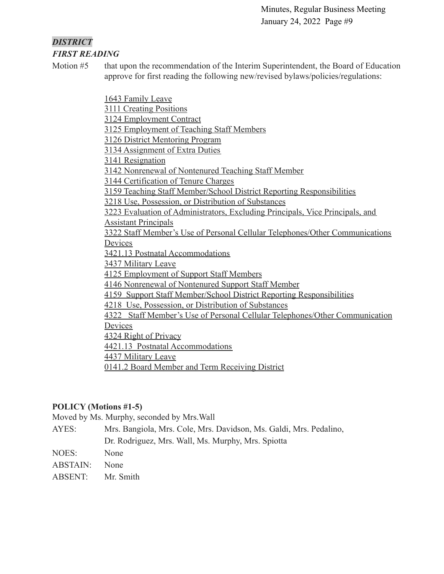### *DISTRICT FIRST READING*

Motion #5 that upon the recommendation of the Interim Superintendent, the Board of Education approve for first reading the following new/revised bylaws/policies/regulations:

[1643 Family Leave](https://drive.google.com/file/d/1LHz-nEfzHSH5LXCK7KHoqgJX8MSKJnSC/view?usp=sharing)

[3111 Creating Positions](https://drive.google.com/file/d/1aQfUbxqomuRTgzwQY_IvcX3Ke6Q-2Jqn/view?usp=sharing)

[3124 Employment Contract](https://drive.google.com/file/d/1Be3-aH1RnG6NR6hN9YKDZjEPkPn-zjQ8/view?usp=sharing)

[3125 Employment of Teaching Staff Members](https://drive.google.com/file/d/1ToeTHDQop9eg27QiSo84l7nqTpn6oWPG/view?usp=sharing)

[3126 District Mentoring Program](https://drive.google.com/file/d/123G8zV0x1YVXwlizvgTtrj0-raCCb32i/view?usp=sharing)

[3134 Assignment of Extra Duties](https://drive.google.com/file/d/16J9DA_KbQ6pWe-0fZpyy2HLDzGf7m703/view?usp=sharing)

[3141 Resignation](https://drive.google.com/file/d/1JcTOVmeooXK3K6b2ge4XENZvmJz4efw-/view?usp=sharing)

[3142 Nonrenewal of Nontenured Teaching Staff Member](https://drive.google.com/file/d/11p3xlSrw2sJURi61reiKJ947bpBX1WTn/view?usp=sharing)

[3144 Certification of Tenure Charges](https://drive.google.com/file/d/1tiVzfVf4CGe720QID-kDxnDWSI0VXStA/view?usp=sharing)

[3159 Teaching Staff Member/School District Reporting Responsibilities](https://drive.google.com/file/d/1TMuNG_PoptC4Zj0q1Q6kt5X4a_2xMv1_/view?usp=sharing)

[3218 Use, Possession, or Distribution of Substances](https://drive.google.com/file/d/1BnCMSTizTf25vsKfzo7CW2CqsQmDa5nF/view?usp=sharing)

[3223 Evaluation of Administrators, Excluding Principals, Vice Principals, and](https://drive.google.com/file/d/1X7Ggs35fdgRfcPBNOKuh74rXvMikTOsJ/view?usp=sharing) [Assistant Principals](https://drive.google.com/file/d/1X7Ggs35fdgRfcPBNOKuh74rXvMikTOsJ/view?usp=sharing)

[3322 Staff Member's Use of Personal Cellular Telephones/Other Communications](https://drive.google.com/file/d/1Y-QuWxnYg9AFxBPlbSygjqJzS5CP-JlO/view?usp=sharing) **[Devices](https://drive.google.com/file/d/1Y-QuWxnYg9AFxBPlbSygjqJzS5CP-JlO/view?usp=sharing)** 

[3421.13 Postnatal Accommodations](https://drive.google.com/file/d/126rfz085QivyWxAO1bz_edY2jnAqwvPP/view?usp=sharing)

[3437 Military Leave](https://drive.google.com/file/d/1cKF7wMZM4dxErAfMidQVe8-rTJYWXLto/view?usp=sharing)

[4125 Employment of Support Staff Members](https://drive.google.com/file/d/1Q3qRjtdJDRfgHf1gjotAQ8QwjZU177Vb/view?usp=sharing)

[4146 Nonrenewal of Nontenured Support Staff Member](https://drive.google.com/file/d/1uF0e_Y0w2c6DKNJEGKxjAefqEQgTIXYw/view?usp=sharing)

[4159 Support Staff Member/School District Reporting Responsibilities](https://drive.google.com/file/d/1SivGwojSk9ENuJzcw_5DYeUoMcUDwBlZ/view?usp=sharing)

[4218 Use, Possession, or Distribution of Substances](https://drive.google.com/file/d/1t55hnBoOZOnQCvSEGx--GxIBX1GzmPti/view?usp=sharing)

[4322 Staff Member's Use of Personal Cellular Telephones/Other Communication](https://drive.google.com/file/d/1GOttN3wap37r87nqKL_nunQRMGKldNs3/view?usp=sharing) **[Devices](https://drive.google.com/file/d/1GOttN3wap37r87nqKL_nunQRMGKldNs3/view?usp=sharing)** 

[4324 Right of Privacy](https://drive.google.com/file/d/1eGkjKSM5d7rFwtTAAi2hdG9KzwHr7DY6/view?usp=sharing)

[4421.13 Postnatal Accommodations](https://drive.google.com/file/d/10IniTHSfj341AT8AnYKQC4kEmHEyX2OK/view?usp=sharing)

[4437 Military Leave](https://drive.google.com/file/d/1su7vpv1TWdRnT-ccJVgKLAibO0GhvSMM/view?usp=sharing)

[0141.2 Board Member and Term Receiving District](https://drive.google.com/file/d/17VZP43HMl0Ys7Kq-Kr9YZewBNcKy48q-/view?usp=sharing)

## **POLICY (Motions #1-5)**

Moved by Ms. Murphy, seconded by Mrs.Wall

AYES: Mrs. Bangiola, Mrs. Cole, Mrs. Davidson, Ms. Galdi, Mrs. Pedalino,

Dr. Rodriguez, Mrs. Wall, Ms. Murphy, Mrs. Spiotta

NOES: None

ABSTAIN: None

ABSENT: Mr. Smith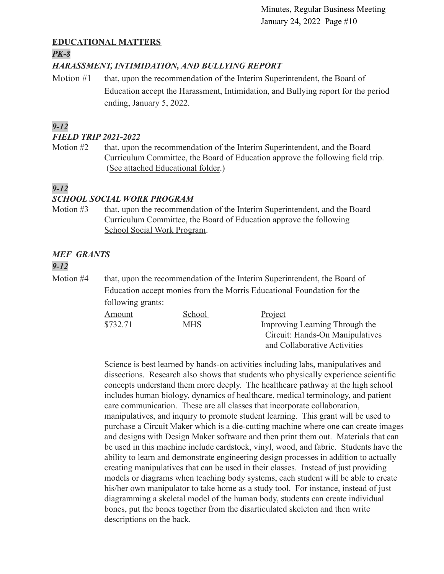## **EDUCATIONAL MATTERS**

### *PK-8*

## *HARASSMENT, INTIMIDATION, AND BULLYING REPORT*

Motion #1 that, upon the recommendation of the Interim Superintendent, the Board of Education accept the Harassment, Intimidation, and Bullying report for the period ending, January 5, 2022.

## *9-12*

### *FIELD TRIP 2021-2022*

Motion #2 that, upon the recommendation of the Interim Superintendent, and the Board Curriculum Committee, the Board of Education approve the following field trip. ([See attached Educational folder](https://drive.google.com/file/d/1OzpnirJNQKbDzWzgq4qzxSB9T_rifGq7/view?usp=sharing).)

## *9-12*

## *SCHOOL SOCIAL WORK PROGRAM*

Motion #3 that, upon the recommendation of the Interim Superintendent, and the Board Curriculum Committee, the Board of Education approve the following [School Social Work Program](https://drive.google.com/file/d/1FI75uwE83CCzcEk_K6cTr-SaGBTahWMY/view?usp=sharing).

# *MEF GRANTS*

## *9-12*

Motion #4 that, upon the recommendation of the Interim Superintendent, the Board of Education accept monies from the Morris Educational Foundation for the following grants:

| Amount   | <b>School</b> | Project                         |
|----------|---------------|---------------------------------|
| \$732.71 | <b>MHS</b>    | Improving Learning Through the  |
|          |               | Circuit: Hands-On Manipulatives |
|          |               | and Collaborative Activities    |

Science is best learned by hands-on activities including labs, manipulatives and dissections. Research also shows that students who physically experience scientific concepts understand them more deeply. The healthcare pathway at the high school includes human biology, dynamics of healthcare, medical terminology, and patient care communication. These are all classes that incorporate collaboration, manipulatives, and inquiry to promote student learning. This grant will be used to purchase a Circuit Maker which is a die-cutting machine where one can create images and designs with Design Maker software and then print them out. Materials that can be used in this machine include cardstock, vinyl, wood, and fabric. Students have the ability to learn and demonstrate engineering design processes in addition to actually creating manipulatives that can be used in their classes. Instead of just providing models or diagrams when teaching body systems, each student will be able to create his/her own manipulator to take home as a study tool. For instance, instead of just diagramming a skeletal model of the human body, students can create individual bones, put the bones together from the disarticulated skeleton and then write descriptions on the back.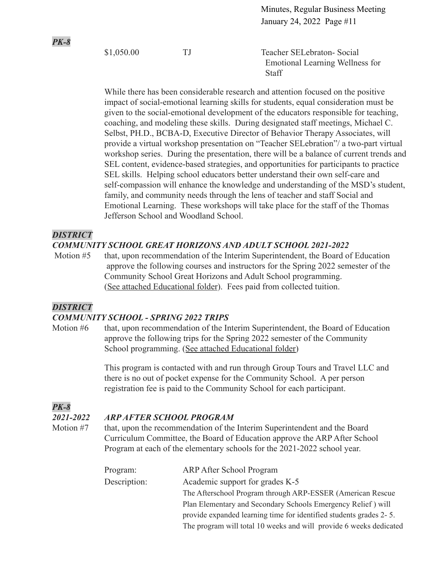\$1,050.00 TJ Teacher SELebraton- Social Emotional Learning Wellness for **Staff** 

While there has been considerable research and attention focused on the positive impact of social-emotional learning skills for students, equal consideration must be given to the social-emotional development of the educators responsible for teaching, coaching, and modeling these skills. During designated staff meetings, Michael C. Selbst, PH.D., BCBA-D, Executive Director of Behavior Therapy Associates, will provide a virtual workshop presentation on "Teacher SELebration"/ a two-part virtual workshop series. During the presentation, there will be a balance of current trends and SEL content, evidence-based strategies, and opportunities for participants to practice SEL skills. Helping school educators better understand their own self-care and self-compassion will enhance the knowledge and understanding of the MSD's student, family, and community needs through the lens of teacher and staff Social and Emotional Learning. These workshops will take place for the staff of the Thomas Jefferson School and Woodland School.

### *DISTRICT*

*PK-8*

### *COMMUNITY SCHOOL GREAT HORIZONS AND ADULT SCHOOL 2021-2022*

Motion #5 that, upon recommendation of the Interim Superintendent, the Board of Education approve the following courses and instructors for the Spring 2022 semester of the Community School Great Horizons and Adult School programming. ([See attached Educational folder](https://drive.google.com/file/d/1wip0YOg0sbghLY0nC4-KlZWGKTZHuvhM/view?usp=sharing)). Fees paid from collected tuition.

### *DISTRICT*

### *COMMUNITY SCHOOL - SPRING 2022 TRIPS*

Motion #6 that, upon recommendation of the Interim Superintendent, the Board of Education approve the following trips for the Spring 2022 semester of the Community School programming. ([See attached Educational folder\)](https://drive.google.com/file/d/1ROINOpmGkHc8AlME8168wTWQsnuFxe63/view?usp=sharing)

> This program is contacted with and run through Group Tours and Travel LLC and there is no out of pocket expense for the Community School. A per person registration fee is paid to the Community School for each participant.

## *PK-8*

### *2021-2022 ARP AFTER SCHOOL PROGRAM*

Motion #7 that, upon the recommendation of the Interim Superintendent and the Board Curriculum Committee, the Board of Education approve the ARP After School Program at each of the elementary schools for the 2021-2022 school year.

| Program:     | <b>ARP After School Program</b>                                    |
|--------------|--------------------------------------------------------------------|
| Description: | Academic support for grades K-5                                    |
|              | The Afterschool Program through ARP-ESSER (American Rescue)        |
|              | Plan Elementary and Secondary Schools Emergency Relief) will       |
|              | provide expanded learning time for identified students grades 2-5. |
|              | The program will total 10 weeks and will provide 6 weeks dedicated |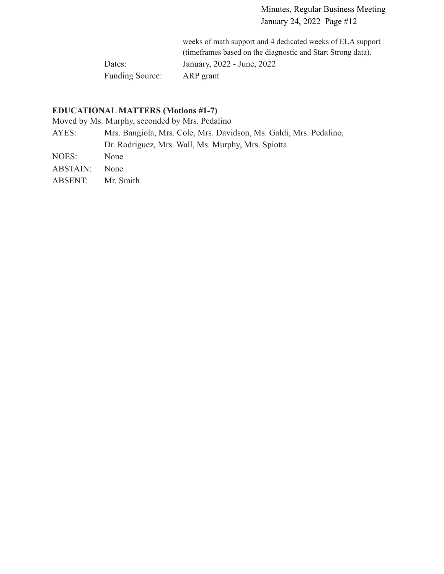weeks of math support and 4 dedicated weeks of ELA support (timeframes based on the diagnostic and Start Strong data). Dates: January, 2022 - June, 2022 Funding Source: ARP grant

## **EDUCATIONAL MATTERS (Motions #1-7)**

Moved by Ms. Murphy, seconded by Mrs. Pedalino

| AYES:    | Mrs. Bangiola, Mrs. Cole, Mrs. Davidson, Ms. Galdi, Mrs. Pedalino, |
|----------|--------------------------------------------------------------------|
|          | Dr. Rodriguez, Mrs. Wall, Ms. Murphy, Mrs. Spiotta                 |
| NOES:    | <b>None</b>                                                        |
| ABSTAIN: | <b>None</b>                                                        |

ABSENT: Mr. Smith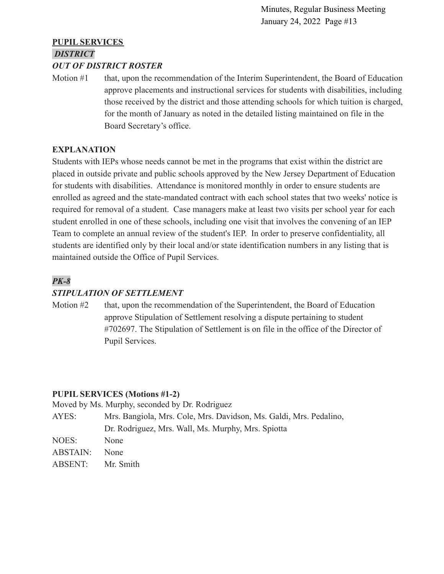## **PUPIL SERVICES** *DISTRICT*

### *OUT OF DISTRICT ROSTER*

Motion #1 that, upon the recommendation of the Interim Superintendent, the Board of Education approve placements and instructional services for students with disabilities, including those received by the district and those attending schools for which tuition is charged, for the month of January as noted in the detailed listing maintained on file in the Board Secretary's office.

## **EXPLANATION**

Students with IEPs whose needs cannot be met in the programs that exist within the district are placed in outside private and public schools approved by the New Jersey Department of Education for students with disabilities. Attendance is monitored monthly in order to ensure students are enrolled as agreed and the state-mandated contract with each school states that two weeks' notice is required for removal of a student. Case managers make at least two visits per school year for each student enrolled in one of these schools, including one visit that involves the convening of an IEP Team to complete an annual review of the student's IEP. In order to preserve confidentiality, all students are identified only by their local and/or state identification numbers in any listing that is maintained outside the Office of Pupil Services.

## *PK-8*

## *STIPULATION OF SETTLEMENT*

Motion #2 that, upon the recommendation of the Superintendent, the Board of Education approve Stipulation of Settlement resolving a dispute pertaining to student #702697. The Stipulation of Settlement is on file in the office of the Director of Pupil Services.

## **PUPIL SERVICES (Motions #1-2)**

Moved by Ms. Murphy, seconded by Dr. Rodriguez

| AYES:           | Mrs. Bangiola, Mrs. Cole, Mrs. Davidson, Ms. Galdi, Mrs. Pedalino, |
|-----------------|--------------------------------------------------------------------|
|                 | Dr. Rodriguez, Mrs. Wall, Ms. Murphy, Mrs. Spiotta                 |
| NOES:           | None                                                               |
| <b>ABSTAIN:</b> | <b>None</b>                                                        |
| ABSENT:         | Mr. Smith                                                          |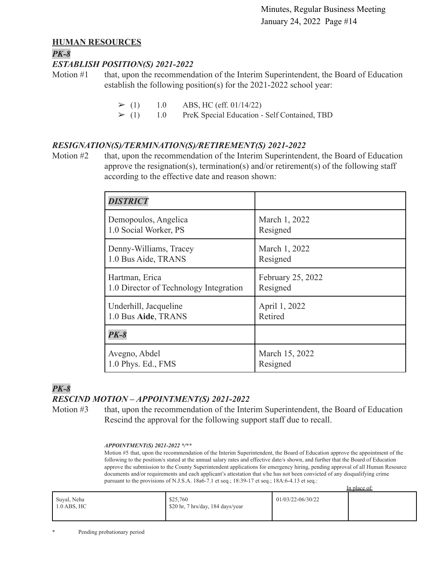### **HUMAN RESOURCES**

### *PK-8*

### *ESTABLISH POSITION(S) 2021-2022*

Motion #1 that, upon the recommendation of the Interim Superintendent, the Board of Education establish the following position(s) for the 2021-2022 school year:

 $\geq$  (1) 1.0 ABS, HC (eff. 01/14/22)

 $\geq$  (1) 1.0 PreK Special Education - Self Contained, TBD

### *RESIGNATION(S)/TERMINATION(S)/RETIREMENT(S) 2021-2022*

Motion #2 that, upon the recommendation of the Interim Superintendent, the Board of Education approve the resignation(s), termination(s) and/or retirement(s) of the following staff according to the effective date and reason shown:

| <b>DISTRICT</b>                        |                   |
|----------------------------------------|-------------------|
| Demopoulos, Angelica                   | March 1, 2022     |
| 1.0 Social Worker, PS                  | Resigned          |
| Denny-Williams, Tracey                 | March 1, 2022     |
| 1.0 Bus Aide, TRANS                    | Resigned          |
| Hartman, Erica                         | February 25, 2022 |
| 1.0 Director of Technology Integration | Resigned          |
| Underhill, Jacqueline                  | April 1, 2022     |
| 1.0 Bus Aide, TRANS                    | Retired           |
| $PK-8$                                 |                   |
| Avegno, Abdel                          | March 15, 2022    |
| 1.0 Phys. Ed., FMS                     | Resigned          |

### *PK-8 RESCIND MOTION – APPOINTMENT(S) 2021-2022*

Motion #3 that, upon the recommendation of the Interim Superintendent, the Board of Education Rescind the approval for the following support staff due to recall.

#### *APPOINTMENT(S) 2021-2022 \*/\*\**

Motion #5 that, upon the recommendation of the Interim Superintendent, the Board of Education approve the appointment of the following to the position/s stated at the annual salary rates and effective date/s shown, and further that the Board of Education approve the submission to the County Superintendent applications for emergency hiring, pending approval of all Human Resource documents and/or requirements and each applicant's attestation that s/he has not been convicted of any disqualifying crime pursuant to the provisions of N.J.S.A. 18a6-7.1 et seq.; 18:39-17 et seq.; 18A:6-4.13 et seq.: In place of:

|                              |                                               |                   | TIL DIACE OF |
|------------------------------|-----------------------------------------------|-------------------|--------------|
| Suyal, Neha<br>$1.0$ ABS, HC | \$25,760<br>\$20 hr, 7 hrs/day, 184 days/year | 01/03/22-06/30/22 |              |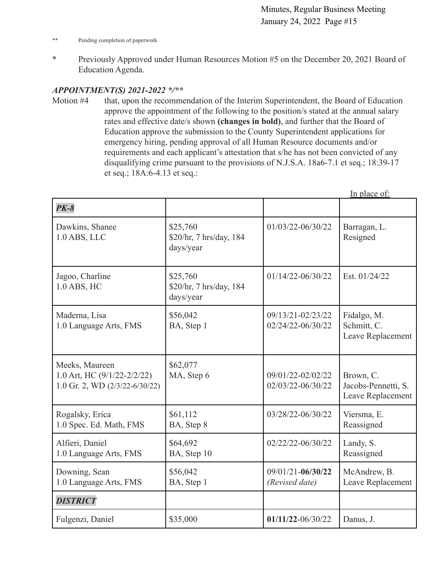- \*\* Pending completion of paperwork
- \* Previously Approved under Human Resources Motion #5 on the December 20, 2021 Board of Education Agenda.

### *APPOINTMENT(S) 2021-2022 \*/\*\**

Motion #4 that, upon the recommendation of the Interim Superintendent, the Board of Education approve the appointment of the following to the position/s stated at the annual salary rates and effective date/s shown **(changes in bold)**, and further that the Board of Education approve the submission to the County Superintendent applications for emergency hiring, pending approval of all Human Resource documents and/or requirements and each applicant's attestation that s/he has not been convicted of any disqualifying crime pursuant to the provisions of N.J.S.A. 18a6-7.1 et seq.; 18:39-17 et seq.; 18A:6-4.13 et seq.:

|                                                                                     |                                                  |                                         | In place of:                                          |
|-------------------------------------------------------------------------------------|--------------------------------------------------|-----------------------------------------|-------------------------------------------------------|
| $PK-8$                                                                              |                                                  |                                         |                                                       |
| Dawkins, Shanee<br>$1.0$ ABS, LLC                                                   | \$25,760<br>\$20/hr, 7 hrs/day, 184<br>days/year | 01/03/22-06/30/22                       | Barragan, L.<br>Resigned                              |
| Jagoo, Charline<br>1.0 ABS, HC                                                      | \$25,760<br>\$20/hr, 7 hrs/day, 184<br>days/year | 01/14/22-06/30/22                       | Est. 01/24/22                                         |
| Maderna, Lisa<br>1.0 Language Arts, FMS                                             | \$56,042<br>BA, Step 1                           | 09/13/21-02/23/22<br>02/24/22-06/30/22  | Fidalgo, M.<br>Schmitt, C.<br>Leave Replacement       |
| Meeks, Maureen<br>1.0 Art, HC (9/1/22-2/2/22)<br>1.0 Gr. 2, WD $(2/3/22 - 6/30/22)$ | \$62,077<br>MA, Step 6                           | 09/01/22-02/02/22<br>02/03/22-06/30/22  | Brown, C.<br>Jacobs-Pennetti, S.<br>Leave Replacement |
| Rogalsky, Erica<br>1.0 Spec. Ed. Math, FMS                                          | \$61,112<br>BA, Step 8                           | 03/28/22-06/30/22                       | Viersma, E.<br>Reassigned                             |
| Alfieri, Daniel<br>1.0 Language Arts, FMS                                           | \$64,692<br>BA, Step 10                          | 02/22/22-06/30/22                       | Landy, S.<br>Reassigned                               |
| Downing, Sean<br>1.0 Language Arts, FMS                                             | \$56,042<br>BA, Step 1                           | $09/01/21 - 06/30/22$<br>(Revised date) | McAndrew, B.<br>Leave Replacement                     |
| <b>DISTRICT</b>                                                                     |                                                  |                                         |                                                       |
| Fulgenzi, Daniel                                                                    | \$35,000                                         | $01/11/22 - 06/30/22$                   | Danus, J.                                             |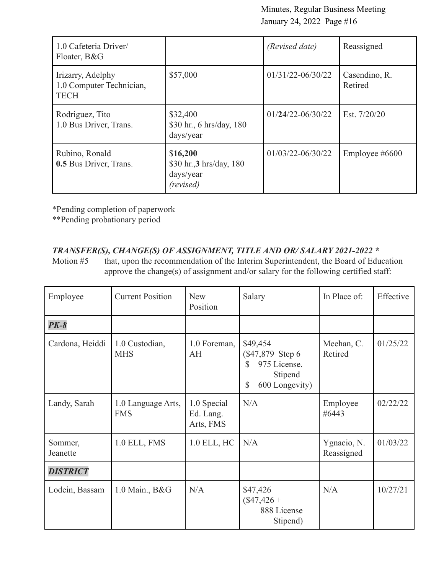| 1.0 Cafeteria Driver/<br>Floater, B&G                        |                                                                | (Revised date)        | Reassigned               |
|--------------------------------------------------------------|----------------------------------------------------------------|-----------------------|--------------------------|
| Irizarry, Adelphy<br>1.0 Computer Technician,<br><b>TECH</b> | \$57,000                                                       | $01/31/22 - 06/30/22$ | Casendino, R.<br>Retired |
| Rodriguez, Tito<br>1.0 Bus Driver, Trans.                    | \$32,400<br>\$30 hr., 6 hrs/day, 180<br>days/year              | $01/24/22 - 06/30/22$ | Est. 7/20/20             |
| Rubino, Ronald<br>0.5 Bus Driver, Trans.                     | \$16,200<br>\$30 hr., 3 hrs/day, 180<br>days/year<br>(revised) | $01/03/22 - 06/30/22$ | Employee $\#6600$        |

\*Pending completion of paperwork

\*\*Pending probationary period

## *TRANSFER(S), CHANGE(S) OF ASSIGNMENT, TITLE AND OR/ SALARY 2021-2022 \**

Motion #5 that, upon the recommendation of the Interim Superintendent, the Board of Education approve the change(s) of assignment and/or salary for the following certified staff:

| Employee            | <b>Current Position</b>          | <b>New</b><br>Position                | Salary                                                                                | In Place of:              | Effective |
|---------------------|----------------------------------|---------------------------------------|---------------------------------------------------------------------------------------|---------------------------|-----------|
| $PK-8$              |                                  |                                       |                                                                                       |                           |           |
| Cardona, Heiddi     | 1.0 Custodian,<br><b>MHS</b>     | 1.0 Foreman,<br>AH                    | \$49,454<br>(\$47,879 Step 6)<br>975 License.<br>S<br>Stipend<br>600 Longevity)<br>\$ | Meehan, C.<br>Retired     | 01/25/22  |
| Landy, Sarah        | 1.0 Language Arts,<br><b>FMS</b> | 1.0 Special<br>Ed. Lang.<br>Arts, FMS | N/A                                                                                   | Employee<br>#6443         | 02/22/22  |
| Sommer,<br>Jeanette | 1.0 ELL, FMS                     | 1.0 ELL, HC                           | N/A                                                                                   | Ygnacio, N.<br>Reassigned | 01/03/22  |
| <b>DISTRICT</b>     |                                  |                                       |                                                                                       |                           |           |
| Lodein, Bassam      | 1.0 Main., B&G                   | N/A                                   | \$47,426<br>$($47,426 +$<br>888 License<br>Stipend)                                   | N/A                       | 10/27/21  |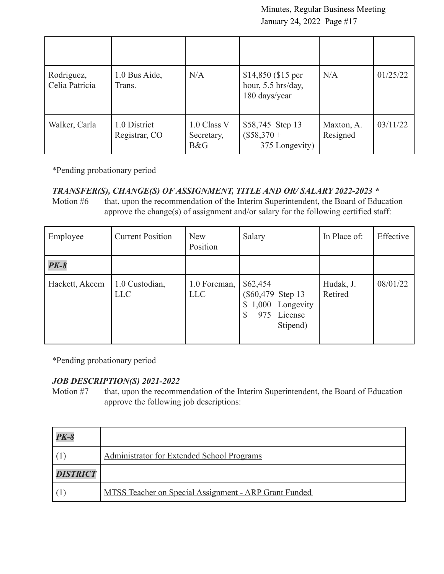| Rodriguez,<br>Celia Patricia | 1.0 Bus Aide,<br>Trans.       | N/A                              | $$14,850$ (\$15 per<br>hour, 5.5 hrs/day,<br>180 days/year | N/A                    | 01/25/22 |
|------------------------------|-------------------------------|----------------------------------|------------------------------------------------------------|------------------------|----------|
| Walker, Carla                | 1.0 District<br>Registrar, CO | 1.0 Class V<br>Secretary,<br>B&G | \$58,745 Step 13<br>$($58,370 +$<br>375 Longevity)         | Maxton, A.<br>Resigned | 03/11/22 |

\*Pending probationary period

## *TRANSFER(S), CHANGE(S) OF ASSIGNMENT, TITLE AND OR/ SALARY 2022-2023 \**

Motion #6 that, upon the recommendation of the Interim Superintendent, the Board of Education approve the change(s) of assignment and/or salary for the following certified staff:

| Employee       | <b>Current Position</b>      | <b>New</b><br>Position     | Salary                                                                          | In Place of:         | Effective |
|----------------|------------------------------|----------------------------|---------------------------------------------------------------------------------|----------------------|-----------|
| $PK-8$         |                              |                            |                                                                                 |                      |           |
| Hackett, Akeem | 1.0 Custodian,<br><b>LLC</b> | 1.0 Foreman,<br><b>LLC</b> | \$62,454<br>(\$60,479 Step 13)<br>1,000 Longevity<br>License<br>975<br>Stipend) | Hudak, J.<br>Retired | 08/01/22  |

\*Pending probationary period

## *JOB DESCRIPTION(S) 2021-2022*

Motion #7 that, upon the recommendation of the Interim Superintendent, the Board of Education approve the following job descriptions:

| $PK-8$          |                                                       |
|-----------------|-------------------------------------------------------|
|                 | Administrator for Extended School Programs            |
| <b>DISTRICT</b> |                                                       |
|                 | MTSS Teacher on Special Assignment - ARP Grant Funded |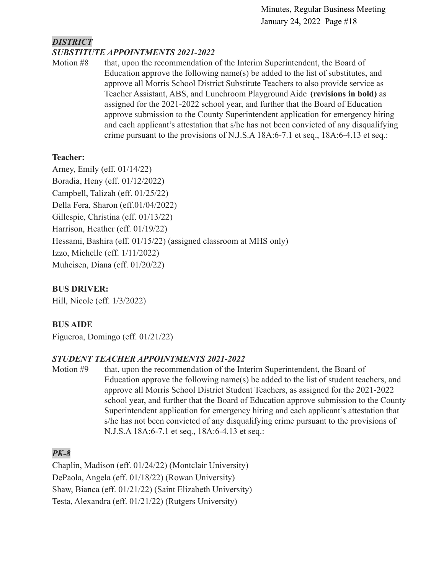## *DISTRICT SUBSTITUTE APPOINTMENTS 2021-2022*

Motion #8 that, upon the recommendation of the Interim Superintendent, the Board of Education approve the following name(s) be added to the list of substitutes, and approve all Morris School District Substitute Teachers to also provide service as Teacher Assistant, ABS, and Lunchroom Playground Aide **(revisions in bold)** as assigned for the 2021-2022 school year, and further that the Board of Education approve submission to the County Superintendent application for emergency hiring and each applicant's attestation that s/he has not been convicted of any disqualifying crime pursuant to the provisions of N.J.S.A 18A:6-7.1 et seq., 18A:6-4.13 et seq.:

## **Teacher:**

Arney, Emily (eff. 01/14/22) Boradia, Heny (eff. 01/12/2022) Campbell, Talizah (eff. 01/25/22) Della Fera, Sharon (eff.01/04/2022) Gillespie, Christina (eff. 01/13/22) Harrison, Heather (eff. 01/19/22) Hessami, Bashira (eff. 01/15/22) (assigned classroom at MHS only) Izzo, Michelle (eff. 1/11/2022) Muheisen, Diana (eff. 01/20/22)

## **BUS DRIVER:**

Hill, Nicole (eff. 1/3/2022)

## **BUS AIDE**

Figueroa, Domingo (eff. 01/21/22)

## *STUDENT TEACHER APPOINTMENTS 2021-2022*

Motion #9 that, upon the recommendation of the Interim Superintendent, the Board of Education approve the following name(s) be added to the list of student teachers, and approve all Morris School District Student Teachers, as assigned for the 2021-2022 school year, and further that the Board of Education approve submission to the County Superintendent application for emergency hiring and each applicant's attestation that s/he has not been convicted of any disqualifying crime pursuant to the provisions of N.J.S.A 18A:6-7.1 et seq., 18A:6-4.13 et seq.:

## *PK-8*

Chaplin, Madison (eff. 01/24/22) (Montclair University) DePaola, Angela (eff. 01/18/22) (Rowan University) Shaw, Bianca (eff. 01/21/22) (Saint Elizabeth University) Testa, Alexandra (eff. 01/21/22) (Rutgers University)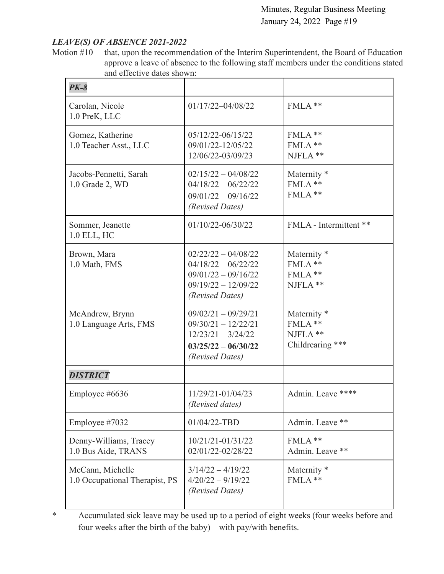## *LEAVE(S) OF ABSENCE 2021-2022*

Motion #10 that, upon the recommendation of the Interim Superintendent, the Board of Education approve a leave of absence to the following staff members under the conditions stated and effective dates shown:

| $PK-8$                                             |                                                                                                                     |                                                                  |
|----------------------------------------------------|---------------------------------------------------------------------------------------------------------------------|------------------------------------------------------------------|
| Carolan, Nicole<br>1.0 PreK, LLC                   | $01/17/22 - 04/08/22$                                                                                               | FMLA **                                                          |
| Gomez, Katherine<br>1.0 Teacher Asst., LLC         | 05/12/22-06/15/22<br>09/01/22-12/05/22<br>12/06/22-03/09/23                                                         | FMLA **<br>FMLA **<br>NJFLA **                                   |
| Jacobs-Pennetti, Sarah<br>1.0 Grade 2, WD          | $02/15/22 - 04/08/22$<br>$04/18/22 - 06/22/22$<br>$09/01/22 - 09/16/22$<br>(Revised Dates)                          | Maternity <sup>*</sup><br>FMLA**<br>FMLA**                       |
| Sommer, Jeanette<br>1.0 ELL, HC                    | 01/10/22-06/30/22                                                                                                   | FMLA - Intermittent **                                           |
| Brown, Mara<br>1.0 Math, FMS                       | $02/22/22 - 04/08/22$<br>$04/18/22 - 06/22/22$<br>$09/01/22 - 09/16/22$<br>$09/19/22 - 12/09/22$<br>(Revised Dates) | Maternity <sup>*</sup><br>FMLA**<br>FMLA**<br>NJFLA **           |
| McAndrew, Brynn<br>1.0 Language Arts, FMS          | $09/02/21 - 09/29/21$<br>$09/30/21 - 12/22/21$<br>$12/23/21 - 3/24/22$<br>$03/25/22 - 06/30/22$<br>(Revised Dates)  | Maternity <sup>*</sup><br>FMLA**<br>NJFLA **<br>Childrearing *** |
| <b>DISTRICT</b>                                    |                                                                                                                     |                                                                  |
| Employee #6636                                     | 11/29/21-01/04/23<br>(Revised dates)                                                                                | Admin. Leave ****                                                |
| Employee #7032                                     | 01/04/22-TBD                                                                                                        | Admin. Leave **                                                  |
| Denny-Williams, Tracey<br>1.0 Bus Aide, TRANS      | 10/21/21-01/31/22<br>02/01/22-02/28/22                                                                              | FMLA **<br>Admin. Leave **                                       |
| McCann, Michelle<br>1.0 Occupational Therapist, PS | $3/14/22 - 4/19/22$<br>$4/20/22 - 9/19/22$<br>(Revised Dates)                                                       | Maternity <sup>*</sup><br>FMLA **                                |

\* Accumulated sick leave may be used up to a period of eight weeks (four weeks before and four weeks after the birth of the baby) – with pay/with benefits.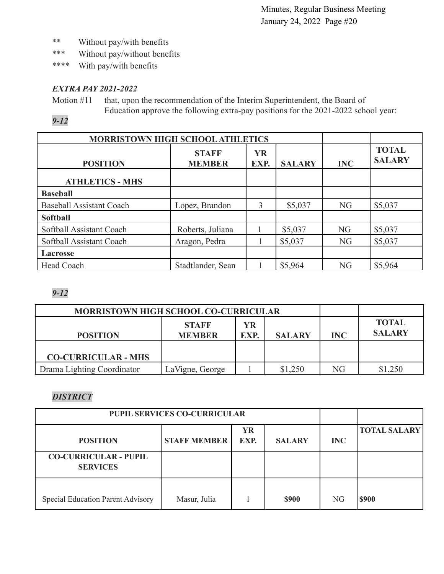- \*\* Without pay/with benefits
- \*\*\* Without pay/without benefits
- \*\*\*\* With pay/with benefits

## *EXTRA PAY 2021-2022*

Motion #11 that, upon the recommendation of the Interim Superintendent, the Board of Education approve the following extra-pay positions for the 2021-2022 school year:

*9-12*

| MORRISTOWN HIGH SCHOOL ATHLETICS |                               |                   |               |            |                               |
|----------------------------------|-------------------------------|-------------------|---------------|------------|-------------------------------|
| <b>POSITION</b>                  | <b>STAFF</b><br><b>MEMBER</b> | <b>YR</b><br>EXP. | <b>SALARY</b> | <b>INC</b> | <b>TOTAL</b><br><b>SALARY</b> |
| <b>ATHLETICS - MHS</b>           |                               |                   |               |            |                               |
| <b>Baseball</b>                  |                               |                   |               |            |                               |
| <b>Baseball Assistant Coach</b>  | Lopez, Brandon                | 3                 | \$5,037       | NG         | \$5,037                       |
| <b>Softball</b>                  |                               |                   |               |            |                               |
| Softball Assistant Coach         | Roberts, Juliana              |                   | \$5,037       | <b>NG</b>  | \$5,037                       |
| Softball Assistant Coach         | Aragon, Pedra                 |                   | \$5,037       | <b>NG</b>  | \$5,037                       |
| <b>Lacrosse</b>                  |                               |                   |               |            |                               |
| Head Coach                       | Stadtlander, Sean             |                   | \$5,964       | NG         | \$5,964                       |

## *9-12*

| <b>MORRISTOWN HIGH SCHOOL CO-CURRICULAR</b> |                               |            |               |            |                               |
|---------------------------------------------|-------------------------------|------------|---------------|------------|-------------------------------|
| <b>POSITION</b>                             | <b>STAFF</b><br><b>MEMBER</b> | YR<br>EXP. | <b>SALARY</b> | <b>INC</b> | <b>TOTAL</b><br><b>SALARY</b> |
| <b>CO-CURRICULAR - MHS</b>                  |                               |            |               |            |                               |
| Drama Lighting Coordinator                  | LaVigne, George               |            | \$1,250       | NG         | ,250                          |

## *DISTRICT*

| <b>PUPIL SERVICES CO-CURRICULAR</b>             |                     |                   |               |                |                     |
|-------------------------------------------------|---------------------|-------------------|---------------|----------------|---------------------|
| <b>POSITION</b>                                 | <b>STAFF MEMBER</b> | <b>YR</b><br>EXP. | <b>SALARY</b> | <b>INC</b>     | <b>TOTAL SALARY</b> |
| <b>CO-CURRICULAR - PUPIL</b><br><b>SERVICES</b> |                     |                   |               |                |                     |
| Special Education Parent Advisory               | Masur, Julia        |                   | <b>\$900</b>  | N <sub>G</sub> | <b>\$900</b>        |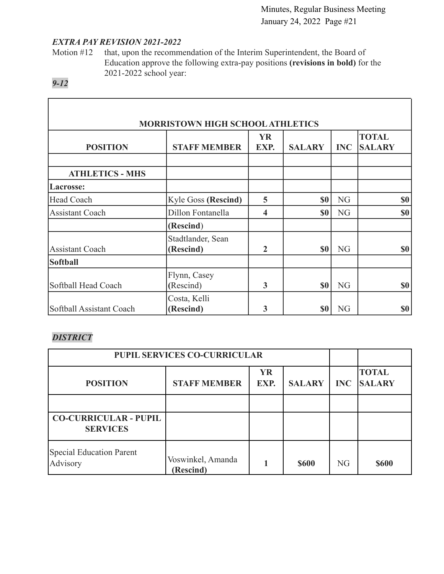ı

## *EXTRA PAY REVISION 2021-2022*

Motion #12 that, upon the recommendation of the Interim Superintendent, the Board of Education approve the following extra-pay positions **(revisions in bold)** for the 2021-2022 school year:

## *9-12*

Г

| <b>MORRISTOWN HIGH SCHOOL ATHLETICS</b> |                                |                         |               |            |                               |
|-----------------------------------------|--------------------------------|-------------------------|---------------|------------|-------------------------------|
| <b>POSITION</b>                         | <b>STAFF MEMBER</b>            | <b>YR</b><br>EXP.       | <b>SALARY</b> | <b>INC</b> | <b>TOTAL</b><br><b>SALARY</b> |
| <b>ATHLETICS - MHS</b>                  |                                |                         |               |            |                               |
| Lacrosse:                               |                                |                         |               |            |                               |
| Head Coach                              | <b>Kyle Goss (Rescind)</b>     | 5                       | \$0           | NG         | <b>\$0</b>                    |
| <b>Assistant Coach</b>                  | Dillon Fontanella              | $\overline{\mathbf{4}}$ | <b>SO</b>     | NG         | \$0                           |
|                                         | (Rescind)                      |                         |               |            |                               |
| <b>Assistant Coach</b>                  | Stadtlander, Sean<br>(Rescind) | $\overline{2}$          | <b>\$0</b>    | NG         | \$0                           |
| Softball                                |                                |                         |               |            |                               |
| Softball Head Coach                     | Flynn, Casey<br>(Rescind)      | 3                       | <b>SO</b>     | NG         | \$0                           |
| Softball Assistant Coach                | Costa, Kelli<br>(Rescind)      | 3                       | \$0           | NG         | \$0                           |

## *DISTRICT*

| <b>PUPIL SERVICES CO-CURRICULAR</b>             |                                |                   |               |                |                               |
|-------------------------------------------------|--------------------------------|-------------------|---------------|----------------|-------------------------------|
| <b>POSITION</b>                                 | <b>STAFF MEMBER</b>            | <b>YR</b><br>EXP. | <b>SALARY</b> | <b>INC</b>     | <b>TOTAL</b><br><b>SALARY</b> |
|                                                 |                                |                   |               |                |                               |
| <b>CO-CURRICULAR - PUPIL</b><br><b>SERVICES</b> |                                |                   |               |                |                               |
| Special Education Parent<br>Advisory            | Voswinkel, Amanda<br>(Rescind) |                   | <b>\$600</b>  | N <sub>G</sub> | <b>\$600</b>                  |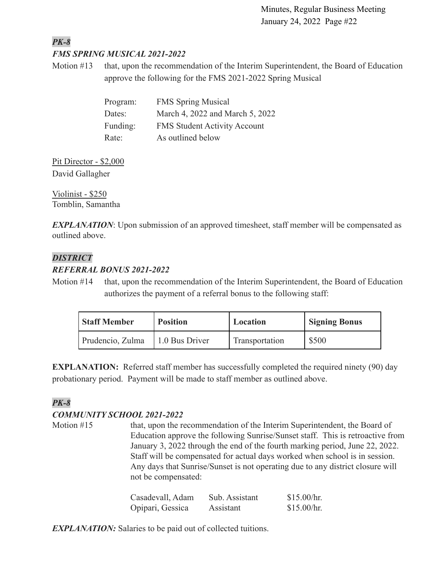### *PK-8 FMS SPRING MUSICAL 2021-2022*

Motion #13 that, upon the recommendation of the Interim Superintendent, the Board of Education approve the following for the FMS 2021-2022 Spring Musical

| Program: | <b>FMS</b> Spring Musical           |
|----------|-------------------------------------|
| Dates:   | March 4, 2022 and March 5, 2022     |
| Funding: | <b>FMS Student Activity Account</b> |
| Rate:    | As outlined below                   |

Pit Director - \$2,000 David Gallagher

Violinist - \$250 Tomblin, Samantha

**EXPLANATION**: Upon submission of an approved timesheet, staff member will be compensated as outlined above.

## *DISTRICT*

## *REFERRAL BONUS 2021-2022*

Motion #14 that, upon the recommendation of the Interim Superintendent, the Board of Education authorizes the payment of a referral bonus to the following staff:

| <b>Staff Member</b> | <b>Position</b> | Location       | <b>Signing Bonus</b> |
|---------------------|-----------------|----------------|----------------------|
| Prudencio, Zulma    | 1.0 Bus Driver  | Transportation | \$500                |

**EXPLANATION:** Referred staff member has successfully completed the required ninety (90) day probationary period. Payment will be made to staff member as outlined above.

## *PK-8*

## *COMMUNITY SCHOOL 2021-2022*

Motion #15 that, upon the recommendation of the Interim Superintendent, the Board of Education approve the following Sunrise/Sunset staff. This is retroactive from January 3, 2022 through the end of the fourth marking period, June 22, 2022. Staff will be compensated for actual days worked when school is in session. Any days that Sunrise/Sunset is not operating due to any district closure will not be compensated:

| Casadevall, Adam | Sub. Assistant | \$15.00/hr. |
|------------------|----------------|-------------|
| Opipari, Gessica | Assistant      | \$15.00/hr. |

*EXPLANATION:* Salaries to be paid out of collected tuitions.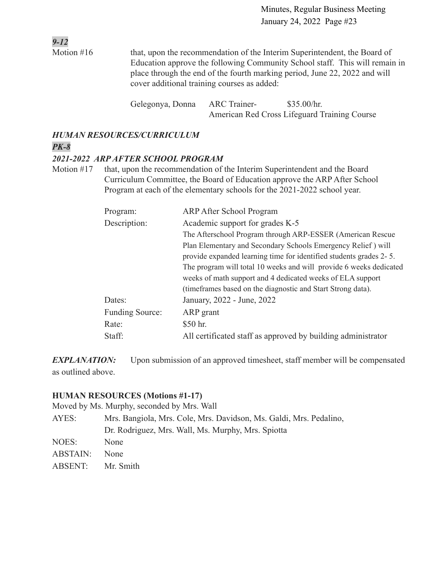Motion #16 that, upon the recommendation of the Interim Superintendent, the Board of Education approve the following Community School staff. This will remain in place through the end of the fourth marking period, June 22, 2022 and will cover additional training courses as added:

> Gelegonya, Donna ARC Trainer- \$35.00/hr. American Red Cross Lifeguard Training Course

## *HUMAN RESOURCES/CURRICULUM*

## *PK-8*

*9-12*

### *2021-2022 ARP AFTER SCHOOL PROGRAM*

Motion #17 that, upon the recommendation of the Interim Superintendent and the Board Curriculum Committee, the Board of Education approve the ARP After School Program at each of the elementary schools for the 2021-2022 school year.

| Program:<br>Description: | <b>ARP After School Program</b><br>Academic support for grades K-5<br>The Afterschool Program through ARP-ESSER (American Rescue)                                                                                                                                                                                                     |
|--------------------------|---------------------------------------------------------------------------------------------------------------------------------------------------------------------------------------------------------------------------------------------------------------------------------------------------------------------------------------|
|                          | Plan Elementary and Secondary Schools Emergency Relief) will<br>provide expanded learning time for identified students grades 2-5.<br>The program will total 10 weeks and will provide 6 weeks dedicated<br>weeks of math support and 4 dedicated weeks of ELA support<br>(timeframes based on the diagnostic and Start Strong data). |
| Dates:                   | January, 2022 - June, 2022                                                                                                                                                                                                                                                                                                            |
| Funding Source:          | ARP grant                                                                                                                                                                                                                                                                                                                             |
| Rate:                    | \$50 hr.                                                                                                                                                                                                                                                                                                                              |
| Staff:                   | All certificated staff as approved by building administrator                                                                                                                                                                                                                                                                          |

*EXPLANATION:* Upon submission of an approved timesheet, staff member will be compensated as outlined above.

### **HUMAN RESOURCES (Motions #1-17)**

Moved by Ms. Murphy, seconded by Mrs. Wall

| AYES:    | Mrs. Bangiola, Mrs. Cole, Mrs. Davidson, Ms. Galdi, Mrs. Pedalino, |
|----------|--------------------------------------------------------------------|
|          | Dr. Rodriguez, Mrs. Wall, Ms. Murphy, Mrs. Spiotta                 |
| NOES:    | <b>None</b>                                                        |
| ABSTAIN: | <b>None</b>                                                        |

ABSENT: Mr. Smith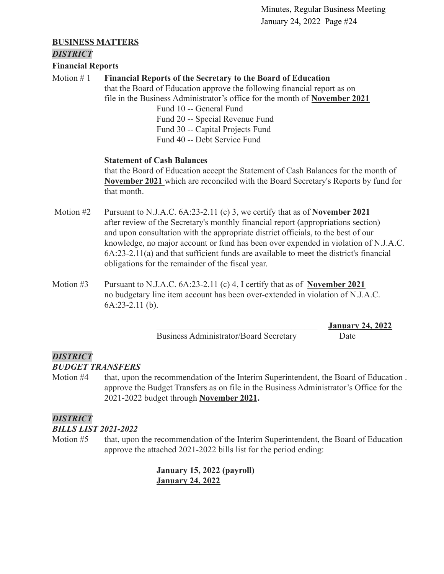### **BUSINESS MATTERS**

### *DISTRICT*

### **Financial Reports**

## Motion # 1 **Financial Reports of the Secretary to the Board of Education**

that the Board of Education approve the following financial report as on file in the Business Administrator's office for the month of **[November 2021](https://drive.google.com/file/d/1c_UJQJkaAjxlU2bsRuaCV4UdGBdiSz4h/view?usp=sharing)**

> Fund 10 -- General Fund Fund 20 -- Special Revenue Fund Fund 30 -- Capital Projects Fund Fund 40 -- Debt Service Fund

### **Statement of Cash Balances**

that the Board of Education accept the Statement of Cash Balances for the month of **[November 2021](https://drive.google.com/file/d/13VIeqpCK1c_9GQqxIS12bamtmmq1aMgs/view?usp=sharing)** which are reconciled with the Board Secretary's Reports by fund for that month.

- Motion #2 Pursuant to N.J.A.C. 6A:23-2.11 (c) 3, we certify that as of **November 2021** after review of the Secretary's monthly financial report (appropriations section) and upon consultation with the appropriate district officials, to the best of our knowledge, no major account or fund has been over expended in violation of N.J.A.C. 6A:23-2.11(a) and that sufficient funds are available to meet the district's financial obligations for the remainder of the fiscal year.
- Motion #3 Pursuant to N.J.A.C. 6A:23-2.11 (c) 4, I certify that as of **November 2021** no budgetary line item account has been over-extended in violation of N.J.A.C. 6A:23-2.11 (b).

Business Administrator/Board Secretary Date

\_\_\_\_\_\_\_\_\_\_\_\_\_\_\_\_\_\_\_\_\_\_\_\_\_\_\_\_\_\_\_\_\_\_\_\_\_ **January 24, 2022**

### *DISTRICT BUDGET TRANSFERS*

- Motion #4 that, upon the recommendation of the Interim Superintendent, the Board of Education .
	- approve the Budget Transfers as on file in the Business Administrator's Office for the 2021-2022 budget through **[November 2021](https://drive.google.com/file/d/1SN4mzrEraBStQcUtoxxk3URZ4tc2S3Lm/view?usp=sharing).**

## *DISTRICT*

### *BILLS LIST 2021-2022*

Motion #5 that, upon the recommendation of the Interim Superintendent, the Board of Education approve the attached 2021-2022 bills list for the period ending:

> **January 15, 2022 (payroll) [January 24, 2022](https://drive.google.com/file/d/129fJ_wCtYt7x0F3OpLzEopWb2a-uV746/view?usp=sharing)**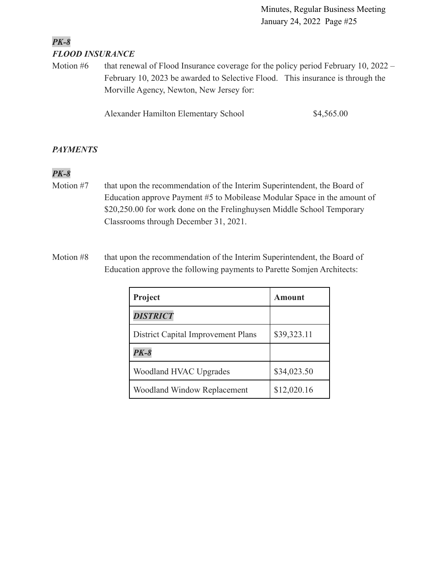## *PK-8 FLOOD INSURANCE*

Motion  $#6$  that renewal of Flood Insurance coverage for the policy period February 10, 2022 – February 10, 2023 be awarded to Selective Flood. This insurance is through the Morville Agency, Newton, New Jersey for:

Alexander Hamilton Elementary School \$4,565.00

## *PAYMENTS*

## *PK-8*

- Motion #7 that upon the recommendation of the Interim Superintendent, the Board of Education approve Payment #5 to Mobilease Modular Space in the amount of \$20,250.00 for work done on the Frelinghuysen Middle School Temporary Classrooms through December 31, 2021.
- Motion #8 that upon the recommendation of the Interim Superintendent, the Board of Education approve the following payments to Parette Somjen Architects:

| Project                                   | Amount      |
|-------------------------------------------|-------------|
| <b>DISTRICT</b>                           |             |
| <b>District Capital Improvement Plans</b> | \$39,323.11 |
| <b>PK-8</b>                               |             |
| Woodland HVAC Upgrades                    | \$34,023.50 |
| <b>Woodland Window Replacement</b>        | \$12,020.16 |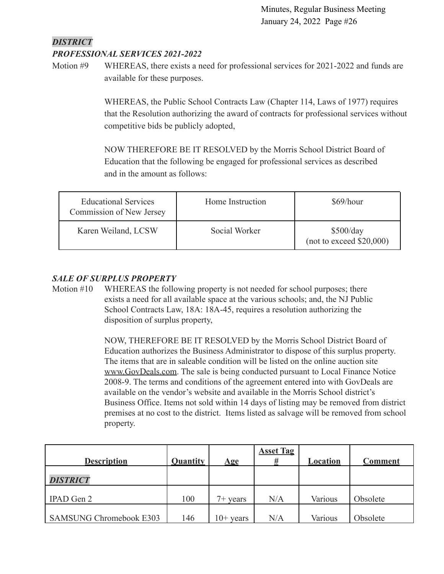## *DISTRICT*

### *PROFESSIONAL SERVICES 2021-2022*

Motion #9 WHEREAS, there exists a need for professional services for 2021-2022 and funds are available for these purposes.

> WHEREAS, the Public School Contracts Law (Chapter 114, Laws of 1977) requires that the Resolution authorizing the award of contracts for professional services without competitive bids be publicly adopted,

NOW THEREFORE BE IT RESOLVED by the Morris School District Board of Education that the following be engaged for professional services as described and in the amount as follows:

| <b>Educational Services</b><br>Commission of New Jersey | Home Instruction | \$69/hour                             |
|---------------------------------------------------------|------------------|---------------------------------------|
| Karen Weiland, LCSW                                     | Social Worker    | \$500/day<br>(not to exceed \$20,000) |

### *SALE OF SURPLUS PROPERTY*

Motion #10 WHEREAS the following property is not needed for school purposes; there exists a need for all available space at the various schools; and, the NJ Public School Contracts Law, 18A: 18A-45, requires a resolution authorizing the disposition of surplus property,

> NOW, THEREFORE BE IT RESOLVED by the Morris School District Board of Education authorizes the Business Administrator to dispose of this surplus property. The items that are in saleable condition will be listed on the online auction site [www.GovDeals.com.](http://www.govdeals.com) The sale is being conducted pursuant to Local Finance Notice 2008-9. The terms and conditions of the agreement entered into with GovDeals are available on the vendor's website and available in the Morris School district's Business Office. Items not sold within 14 days of listing may be removed from district premises at no cost to the district. Items listed as salvage will be removed from school property.

| <b>Description</b>             | Quantity | $\mathbf{Age}$ | <b>Asset Tag</b><br># | Location | <b>Comment</b> |
|--------------------------------|----------|----------------|-----------------------|----------|----------------|
| <b>DISTRICT</b>                |          |                |                       |          |                |
| <b>IPAD</b> Gen 2              | 100      | $7+$ years     | N/A                   | Various  | Obsolete       |
| <b>SAMSUNG Chromebook E303</b> | 146      | $10+$ years    | N/A                   | Various  | Obsolete       |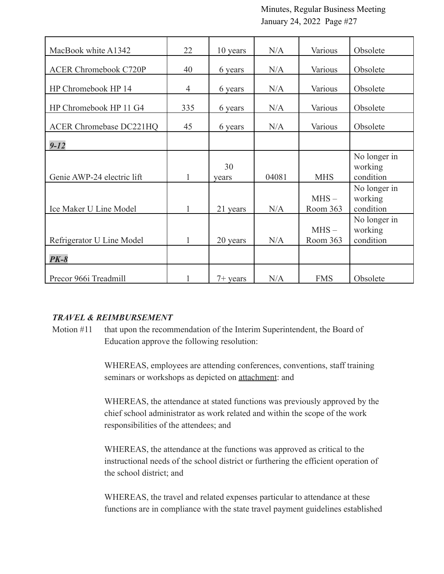| MacBook white A1342            | 22             | 10 years    | N/A   | Various             | Obsolete                             |
|--------------------------------|----------------|-------------|-------|---------------------|--------------------------------------|
| <b>ACER Chromebook C720P</b>   | 40             | 6 years     | N/A   | Various             | Obsolete                             |
| HP Chromebook HP 14            | $\overline{4}$ | 6 years     | N/A   | Various             | Obsolete                             |
| HP Chromebook HP 11 G4         | 335            | 6 years     | N/A   | Various             | Obsolete                             |
| <b>ACER Chromebase DC221HQ</b> | 45             | 6 years     | N/A   | Various             | Obsolete                             |
| $9 - 12$                       |                |             |       |                     |                                      |
| Genie AWP-24 electric lift     | 1              | 30<br>vears | 04081 | <b>MHS</b>          | No longer in<br>working<br>condition |
| Ice Maker U Line Model         | 1              | 21 years    | N/A   | $MHS -$<br>Room 363 | No longer in<br>working<br>condition |
| Refrigerator U Line Model      | 1              | 20 years    | N/A   | $MHS -$<br>Room 363 | No longer in<br>working<br>condition |
| $PK-8$                         |                |             |       |                     |                                      |
| Precor 966i Treadmill          |                | $7+$ years  | N/A   | <b>FMS</b>          | Obsolete                             |

### *TRAVEL & REIMBURSEMENT*

Motion #11 that upon the recommendation of the Interim Superintendent, the Board of Education approve the following resolution:

> WHEREAS, employees are attending conferences, conventions, staff training seminars or workshops as depicted on **attachment**: and

WHEREAS, the attendance at stated functions was previously approved by the chief school administrator as work related and within the scope of the work responsibilities of the attendees; and

WHEREAS, the attendance at the functions was approved as critical to the instructional needs of the school district or furthering the efficient operation of the school district; and

WHEREAS, the travel and related expenses particular to attendance at these functions are in compliance with the state travel payment guidelines established